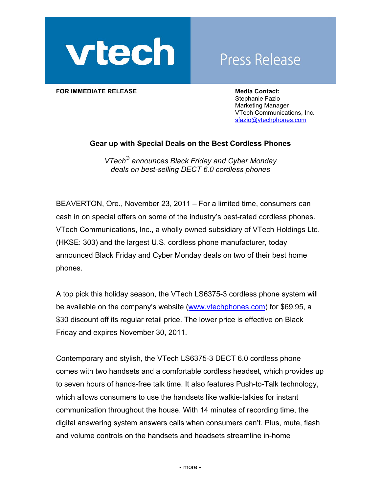

## **Press Release**

**FOR IMMEDIATE RELEASE Media Contact: Media Contact:** 

Stephanie Fazio Marketing Manager VTech Communications, Inc. sfazio@vtechphones.com

## **Gear up with Special Deals on the Best Cordless Phones**

*VTech*® *announces Black Friday and Cyber Monday deals on best-selling DECT 6.0 cordless phones* 

BEAVERTON, Ore., November 23, 2011 – For a limited time, consumers can cash in on special offers on some of the industry's best-rated cordless phones. VTech Communications, Inc., a wholly owned subsidiary of VTech Holdings Ltd. (HKSE: 303) and the largest U.S. cordless phone manufacturer, today announced Black Friday and Cyber Monday deals on two of their best home phones.

A top pick this holiday season, the VTech LS6375-3 cordless phone system will be available on the company's website (www.vtechphones.com) for \$69.95, a \$30 discount off its regular retail price. The lower price is effective on Black Friday and expires November 30, 2011.

Contemporary and stylish, the VTech LS6375-3 DECT 6.0 cordless phone comes with two handsets and a comfortable cordless headset, which provides up to seven hours of hands-free talk time. It also features Push-to-Talk technology, which allows consumers to use the handsets like walkie-talkies for instant communication throughout the house. With 14 minutes of recording time, the digital answering system answers calls when consumers can't. Plus, mute, flash and volume controls on the handsets and headsets streamline in-home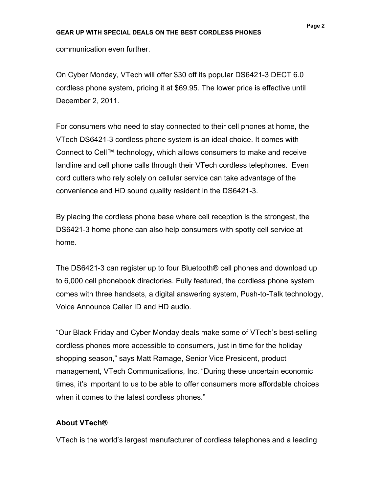communication even further.

On Cyber Monday, VTech will offer \$30 off its popular DS6421-3 DECT 6.0 cordless phone system, pricing it at \$69.95. The lower price is effective until December 2, 2011.

For consumers who need to stay connected to their cell phones at home, the VTech DS6421-3 cordless phone system is an ideal choice. It comes with Connect to Cell™ technology, which allows consumers to make and receive landline and cell phone calls through their VTech cordless telephones. Even cord cutters who rely solely on cellular service can take advantage of the convenience and HD sound quality resident in the DS6421-3.

By placing the cordless phone base where cell reception is the strongest, the DS6421-3 home phone can also help consumers with spotty cell service at home.

The DS6421-3 can register up to four Bluetooth® cell phones and download up to 6,000 cell phonebook directories. Fully featured, the cordless phone system comes with three handsets, a digital answering system, Push-to-Talk technology, Voice Announce Caller ID and HD audio.

"Our Black Friday and Cyber Monday deals make some of VTech's best-selling cordless phones more accessible to consumers, just in time for the holiday shopping season," says Matt Ramage, Senior Vice President, product management, VTech Communications, Inc. "During these uncertain economic times, it's important to us to be able to offer consumers more affordable choices when it comes to the latest cordless phones."

## **About VTech®**

VTech is the world's largest manufacturer of cordless telephones and a leading